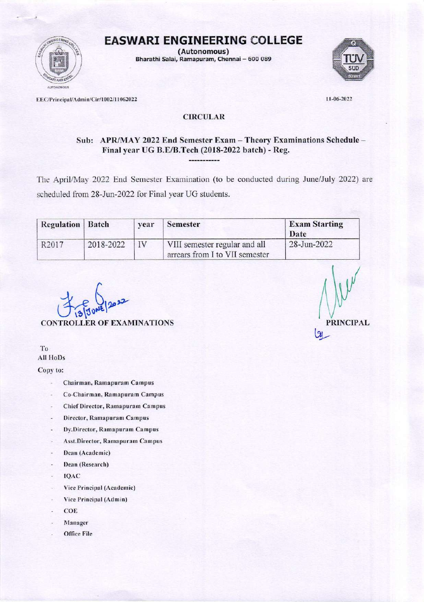

(Autonomous) Bharathi Salai, Ramapuram, Chennai - 600 089



EEC/Principal/Admin/Cir/1002/11062022

11-06-2022

r,

## **CIRCULAR**

# Sub: APR/MAY 2022 End Semester Exam - Theory Examinations Schedule -Final year UG B.E/B.Tech (2018-2022 batch) - Reg.

The April/May 2022 End Semester Examination (to be conducted during June/July 2022) are scheduled from 28-Jun-2022 for Final year UG students.

| <b>Regulation</b> Batch |           | vear | Semester                                                        | <b>Exam Starting</b><br>Date |
|-------------------------|-----------|------|-----------------------------------------------------------------|------------------------------|
| R <sub>2017</sub>       | 2018-2022 | IV   | VIII semester regular and all<br>arrears from I to VII semester | 28-Jun-2022                  |

**CONTROLLER OF EXAMINATIONS** 

T<sub>0</sub> **All HoDs** 

Copy to:

- Chairman, Ramapuram Campus
- Co-Chairman, Ramapuram Campus ÷.
- **Chief Director, Ramapuram Campus**
- Director, Ramapuram Campus
- Dy.Director, Ramapuram Campus
- Asst.Director, Ramapuram Campus
- Dean (Academic) Ξ
- Dean (Research) i,
- IQAC
- Vice Principal (Academic)
- Vice Principal (Admin) i.
- COE u
- Manager
- Office File

**PRINCIPAL**